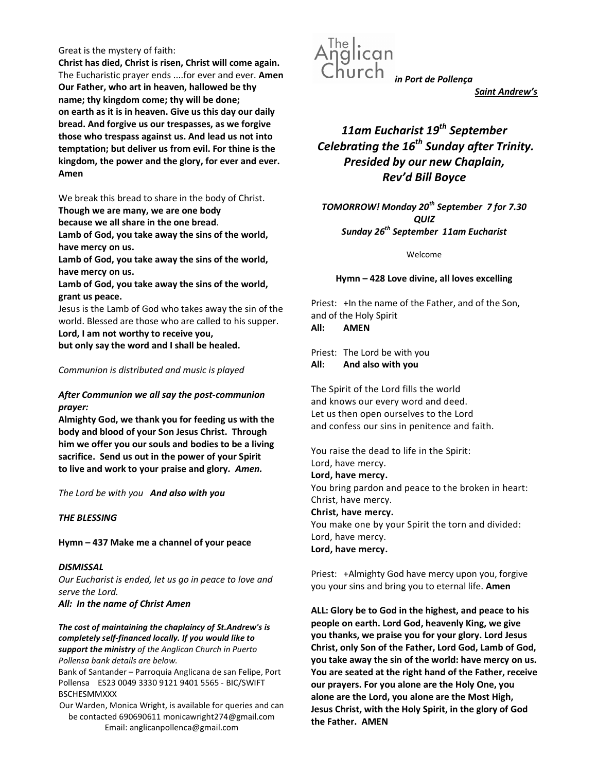#### Great is the mystery of faith:

Christ has died, Christ is risen, Christ will come again. The Eucharistic prayer ends ....for ever and ever. Amen Our Father, who art in heaven, hallowed be thy name; thy kingdom come; thy will be done; on earth as it is in heaven. Give us this day our daily bread. And forgive us our trespasses, as we forgive those who trespass against us. And lead us not into temptation; but deliver us from evil. For thine is the kingdom, the power and the glory, for ever and ever. Amen

We break this bread to share in the body of Christ.

Though we are many, we are one body

because we all share in the one bread.

Lamb of God, you take away the sins of the world, have mercy on us.

Lamb of God, you take away the sins of the world, have mercy on us.

Lamb of God, you take away the sins of the world, grant us peace.

Jesus is the Lamb of God who takes away the sin of the world. Blessed are those who are called to his supper. Lord, I am not worthy to receive you,

but only say the word and I shall be healed.

## Communion is distributed and music is played

## After Communion we all say the post-communion prayer:

Almighty God, we thank you for feeding us with the body and blood of your Son Jesus Christ. Through him we offer you our souls and bodies to be a living sacrifice. Send us out in the power of your Spirit to live and work to your praise and glory. Amen.

The Lord be with you And also with you

## THE BLESSING

## Hymn – 437 Make me a channel of your peace

## **DISMISSAL**

Our Eucharist is ended, let us go in peace to love and serve the Lord.

All: In the name of Christ Amen

The cost of maintaining the chaplaincy of St.Andrew's is completely self-financed locally. If you would like to support the ministry of the Anglican Church in Puerto Pollensa bank details are below.

Bank of Santander – Parroquia Anglicana de san Felipe, Port Pollensa ES23 0049 3330 9121 9401 5565 - BIC/SWIFT BSCHESMMXXX

Our Warden, Monica Wright, is available for queries and can be contacted 690690611 monicawright274@gmail.com Email: anglicanpollenca@gmail.com



Saint Andrew's

# 11am Eucharist 19<sup>th</sup> September Celebrating the  $16<sup>th</sup>$  Sunday after Trinity. Presided by our new Chaplain, Rev'd Bill Boyce

TOMORROW! Monday 20<sup>th</sup> September 7 for 7.30 QUIZ Sunday 26<sup>th</sup> September 11am Eucharist

Welcome

Hymn – 428 Love divine, all loves excelling

Priest: +In the name of the Father, and of the Son, and of the Holy Spirit

All: AMEN

Priest: The Lord be with you All: And also with you

The Spirit of the Lord fills the world and knows our every word and deed. Let us then open ourselves to the Lord and confess our sins in penitence and faith.

You raise the dead to life in the Spirit: Lord, have mercy. Lord, have mercy. You bring pardon and peace to the broken in heart: Christ, have mercy. Christ, have mercy. You make one by your Spirit the torn and divided: Lord, have mercy. Lord, have mercy.

Priest: +Almighty God have mercy upon you, forgive you your sins and bring you to eternal life. Amen

ALL: Glory be to God in the highest, and peace to his people on earth. Lord God, heavenly King, we give you thanks, we praise you for your glory. Lord Jesus Christ, only Son of the Father, Lord God, Lamb of God, you take away the sin of the world: have mercy on us. You are seated at the right hand of the Father, receive our prayers. For you alone are the Holy One, you alone are the Lord, you alone are the Most High, Jesus Christ, with the Holy Spirit, in the glory of God the Father. AMEN